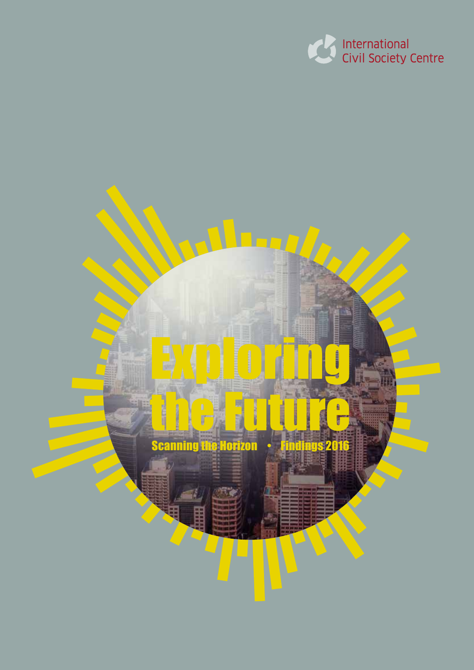

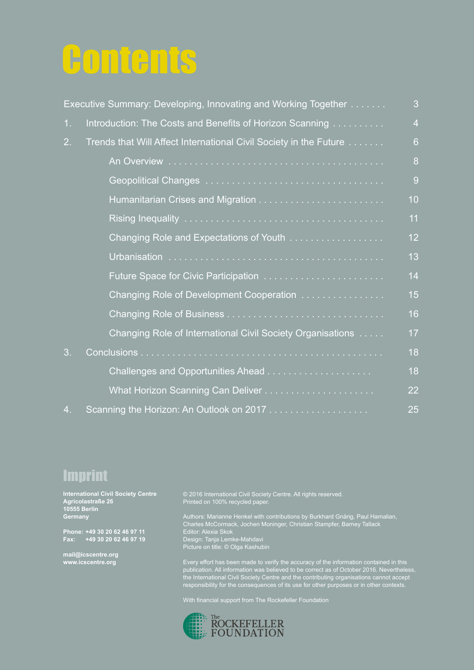## **Contents**

|                | Executive Summary: Developing, Innovating and Working Together    | 3              |
|----------------|-------------------------------------------------------------------|----------------|
| 1.             | Introduction: The Costs and Benefits of Horizon Scanning          | $\overline{4}$ |
| 2.             | Trends that Will Affect International Civil Society in the Future | 6              |
|                |                                                                   | 8              |
|                |                                                                   | 9              |
|                |                                                                   | 10             |
|                |                                                                   | 11             |
|                | Changing Role and Expectations of Youth                           | 12             |
|                |                                                                   | 13             |
|                |                                                                   | 14             |
|                | Changing Role of Development Cooperation                          | 15             |
|                |                                                                   | 16             |
|                | Changing Role of International Civil Society Organisations        | 17             |
| 3 <sub>1</sub> |                                                                   | 18             |
|                |                                                                   | 18             |
|                |                                                                   | 22             |
| 4.             |                                                                   | 25             |

### Imprint

**International Civil Society Centre Agricolastraße 26 10555 Berlin Germany**

**Phone: +49 30 20 62 46 97 11 Fax: +49 30 20 62 46 97 19**

**mail@icscentre.org www.icscentre.org**

© 2016 International Civil Society Centre. All rights reserved. Printed on 100% recycled paper.

Authors: Marianne Henkel with contributions by Burkhard Gnärig, Paul Hamalian, Charles McCormack, Jochen Moninger, Christian Stampfer, Barney Tallack Editor: Alexia Skok Design: Tanja Lemke-Mahdavi Picture on title: © Olga Kashubin

Every effort has been made to verify the accuracy of the information contained in this publication. All information was believed to be correct as of October 2016. Nevertheless, the International Civil Society Centre and the contributing organisations cannot accept responsibility for the consequences of its use for other purposes or in other contexts.

With financial support from The Rockefeller Foundation

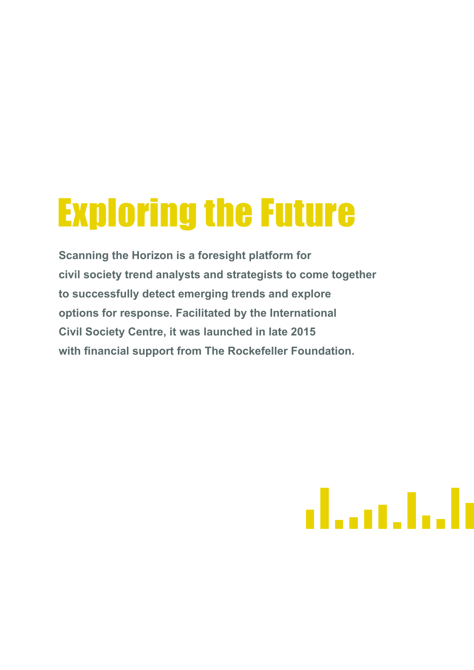# Exploring the Future

**Scanning the Horizon is a foresight platform for civil society trend analysts and strategists to come together to successfully detect emerging trends and explore options for response. Facilitated by the International Civil Society Centre, it was launched in late 2015 with financial support from The Rockefeller Foundation.**

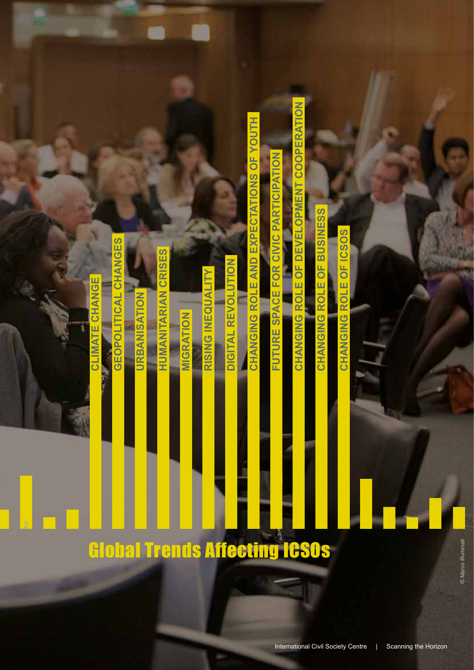# CHANGING ROLE OF ICSOS **CHANGING ROLE OF ICSOS**

ROLE OF BUSINESS **CHANGING ROLE OF BUSINESS** CHANGING

CHANGING ROLE OF DEVELOPMENT COOPERATION **CHANGING ROLE OF DEVELOPMENT COOPERATION**

**FUTURE SPACE FOR CIVIC PARTICIPATION FUTURE SPACE FOR CIVIC PARTICIPATION**

CHANGING ROLE AND EXPECTATIONS OF YOUTH **CHANGING ROLE AND EXPECTATIONS OF YOUTH**

**DIGITAL REVOLUTION** 

**RISING INEQUALITY**

RISING INEQUALITY

**DIGITAL REVOLUTION**

Global Trends Affecting ICSOs

2

2

**CLIMATE CHANGE**

**CLIMATE CHANGE** 

**GEOPOLITICAL CHANGES**

GEOPOLITICAL CHANGES

**URBANISATION**

URBANISATION

**HUMANITARIAN CRISES**

**HUMANITARIAN CRISES** 

**MIGRATION**

MIGRATION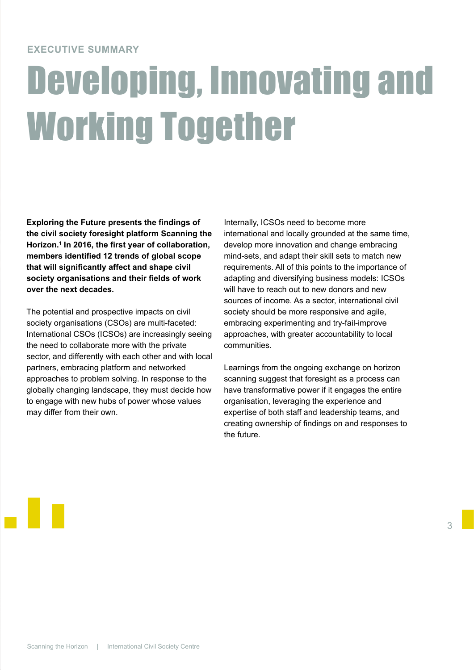#### **EXECUTIVE SUMMARY**

# Developing, Innovating and Working Together

**Exploring the Future presents the findings of the civil society foresight platform Scanning the Horizon.1 In 2016, the first year of collaboration, members identified 12 trends of global scope that will significantly affect and shape civil society organisations and their fields of work over the next decades.**

The potential and prospective impacts on civil society organisations (CSOs) are multi-faceted: International CSOs (ICSOs) are increasingly seeing the need to collaborate more with the private sector, and differently with each other and with local partners, embracing platform and networked approaches to problem solving. In response to the globally changing landscape, they must decide how to engage with new hubs of power whose values may differ from their own.

Internally, ICSOs need to become more international and locally grounded at the same time, develop more innovation and change embracing mind-sets, and adapt their skill sets to match new requirements. All of this points to the importance of adapting and diversifying business models: ICSOs will have to reach out to new donors and new sources of income. As a sector, international civil society should be more responsive and agile, embracing experimenting and try-fail-improve approaches, with greater accountability to local communities.

Learnings from the ongoing exchange on horizon scanning suggest that foresight as a process can have transformative power if it engages the entire organisation, leveraging the experience and expertise of both staff and leadership teams, and creating ownership of findings on and responses to the future.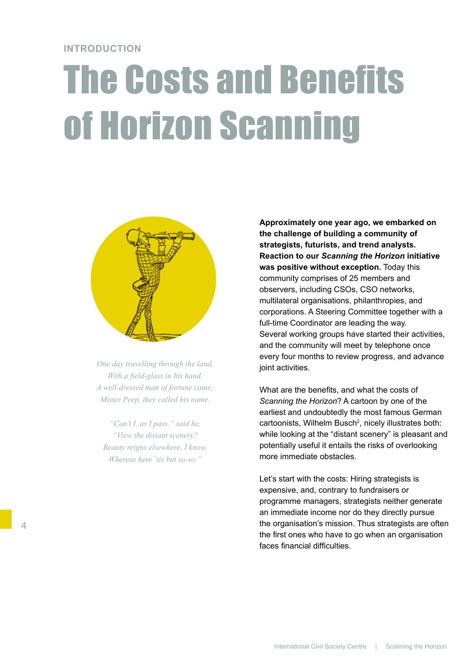#### **INTRODUCTION**

# The Costs and Benefits of Horizon Scanning



*One day travelling through the land, With a field-glass in his hand, A well-dressed man of fortune came; Mister Peep, they called his name.*

*"Can't I, as I pass," said he, "View the distant scenery? Beauty reigns elsewhere, I know, Whereas here 'tis but so-so."* 

**Approximately one year ago, we embarked on the challenge of building a community of strategists, futurists, and trend analysts. Reaction to our** *Scanning the Horizon* **initiative was positive without exception.** Today this community comprises of 25 members and observers, including CSOs, CSO networks, multilateral organisations, philanthropies, and corporations. A Steering Committee together with a full-time Coordinator are leading the way. Several working groups have started their activities, and the community will meet by telephone once every four months to review progress, and advance joint activities.

What are the benefits, and what the costs of *Scanning the Horizon*? A cartoon by one of the earliest and undoubtedly the most famous German cartoonists, Wilhelm Busch<sup>2</sup>, nicely illustrates both: while looking at the "distant scenery" is pleasant and potentially useful it entails the risks of overlooking more immediate obstacles.

Let's start with the costs: Hiring strategists is expensive, and, contrary to fundraisers or programme managers, strategists neither generate an immediate income nor do they directly pursue the organisation's mission. Thus strategists are often the first ones who have to go when an organisation faces financial difficulties.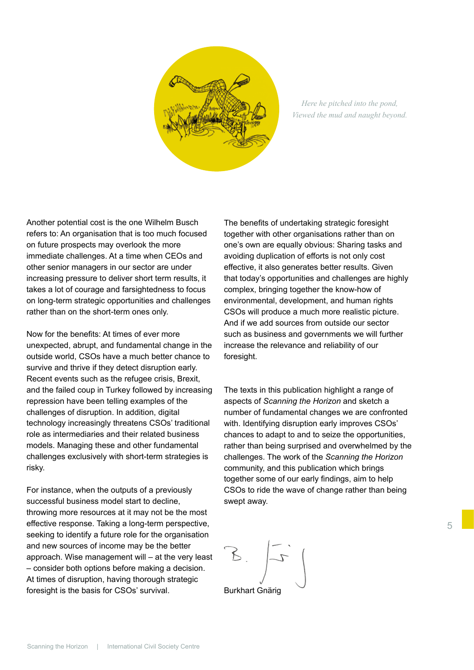

*Here he pitched into the pond, Viewed the mud and naught beyond.*

Another potential cost is the one Wilhelm Busch refers to: An organisation that is too much focused on future prospects may overlook the more immediate challenges. At a time when CEOs and other senior managers in our sector are under increasing pressure to deliver short term results, it takes a lot of courage and farsightedness to focus on long-term strategic opportunities and challenges rather than on the short-term ones only.

Now for the benefits: At times of ever more unexpected, abrupt, and fundamental change in the outside world, CSOs have a much better chance to survive and thrive if they detect disruption early. Recent events such as the refugee crisis, Brexit, and the failed coup in Turkey followed by increasing repression have been telling examples of the challenges of disruption. In addition, digital technology increasingly threatens CSOs' traditional role as intermediaries and their related business models. Managing these and other fundamental challenges exclusively with short-term strategies is risky.

For instance, when the outputs of a previously successful business model start to decline, throwing more resources at it may not be the most effective response. Taking a long-term perspective, seeking to identify a future role for the organisation and new sources of income may be the better approach. Wise management will – at the very least – consider both options before making a decision. At times of disruption, having thorough strategic foresight is the basis for CSOs' survival.

The benefits of undertaking strategic foresight together with other organisations rather than on one's own are equally obvious: Sharing tasks and avoiding duplication of efforts is not only cost effective, it also generates better results. Given that today's opportunities and challenges are highly complex, bringing together the know-how of environmental, development, and human rights CSOs will produce a much more realistic picture. And if we add sources from outside our sector such as business and governments we will further increase the relevance and reliability of our foresight.

The texts in this publication highlight a range of aspects of *Scanning the Horizon* and sketch a number of fundamental changes we are confronted with. Identifying disruption early improves CSOs' chances to adapt to and to seize the opportunities, rather than being surprised and overwhelmed by the challenges. The work of the *Scanning the Horizon*  community, and this publication which brings together some of our early findings, aim to help CSOs to ride the wave of change rather than being swept away.

Burkhart Gnärig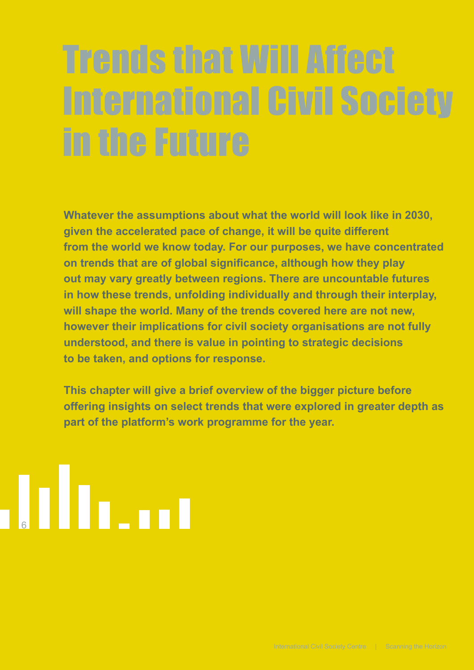# Trends that Will Affect International Civil Society in the Future

**Whatever the assumptions about what the world will look like in 2030, given the accelerated pace of change, it will be quite different from the world we know today. For our purposes, we have concentrated on trends that are of global significance, although how they play out may vary greatly between regions. There are uncountable futures in how these trends, unfolding individually and through their interplay, will shape the world. Many of the trends covered here are not new, however their implications for civil society organisations are not fully understood, and there is value in pointing to strategic decisions to be taken, and options for response.** 

**This chapter will give a brief overview of the bigger picture before offering insights on select trends that were explored in greater depth as part of the platform's work programme for the year.** 

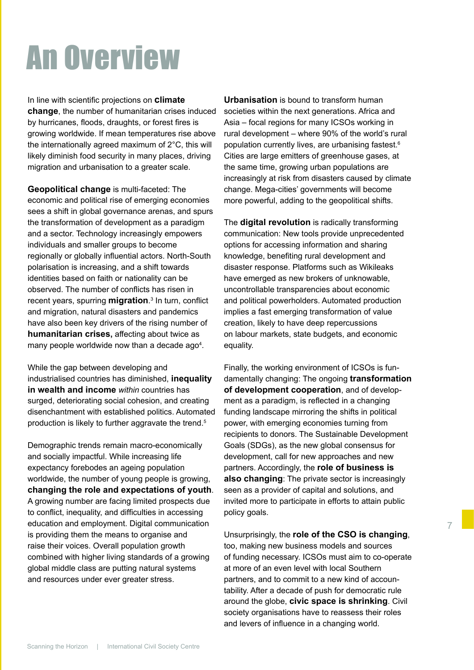### An Overview

In line with scientific projections on **climate change**, the number of humanitarian crises induced by hurricanes, floods, draughts, or forest fires is growing worldwide. If mean temperatures rise above the internationally agreed maximum of 2°C, this will likely diminish food security in many places, driving migration and urbanisation to a greater scale.

**Geopolitical change** is multi-faceted: The economic and political rise of emerging economies sees a shift in global governance arenas, and spurs the transformation of development as a paradigm and a sector. Technology increasingly empowers individuals and smaller groups to become regionally or globally influential actors. North-South polarisation is increasing, and a shift towards identities based on faith or nationality can be observed. The number of conflicts has risen in recent years, spurring **migration**. 3 In turn, conflict and migration, natural disasters and pandemics have also been key drivers of the rising number of **humanitarian crises,** affecting about twice as many people worldwide now than a decade ago<sup>4</sup>.

While the gap between developing and industrialised countries has diminished, **inequality in wealth and income** *within* countries has surged, deteriorating social cohesion, and creating disenchantment with established politics. Automated production is likely to further aggravate the trend.<sup>5</sup>

Demographic trends remain macro-economically and socially impactful. While increasing life expectancy forebodes an ageing population worldwide, the number of young people is growing, **changing the role and expectations of youth**. A growing number are facing limited prospects due to conflict, inequality, and difficulties in accessing education and employment. Digital communication is providing them the means to organise and raise their voices. Overall population growth combined with higher living standards of a growing global middle class are putting natural systems and resources under ever greater stress.

**Urbanisation** is bound to transform human societies within the next generations. Africa and Asia – focal regions for many ICSOs working in rural development – where 90% of the world's rural population currently lives, are urbanising fastest.<sup>6</sup> Cities are large emitters of greenhouse gases, at the same time, growing urban populations are increasingly at risk from disasters caused by climate change. Mega-cities' governments will become more powerful, adding to the geopolitical shifts.

The **digital revolution** is radically transforming communication: New tools provide unprecedented options for accessing information and sharing knowledge, benefiting rural development and disaster response. Platforms such as Wikileaks have emerged as new brokers of unknowable, uncontrollable transparencies about economic and political powerholders. Automated production implies a fast emerging transformation of value creation, likely to have deep repercussions on labour markets, state budgets, and economic equality.

Finally, the working environment of ICSOs is fundamentally changing: The ongoing **transformation of development cooperation**, and of development as a paradigm, is reflected in a changing funding landscape mirroring the shifts in political power, with emerging economies turning from recipients to donors. The Sustainable Development Goals (SDGs), as the new global consensus for development, call for new approaches and new partners. Accordingly, the **role of business is also changing**: The private sector is increasingly seen as a provider of capital and solutions, and invited more to participate in efforts to attain public policy goals.

Unsurprisingly, the **role of the CSO is changing**, too, making new business models and sources of funding necessary. ICSOs must aim to co-operate at more of an even level with local Southern partners, and to commit to a new kind of accountability. After a decade of push for democratic rule around the globe, **civic space is shrinking**. Civil society organisations have to reassess their roles and levers of influence in a changing world.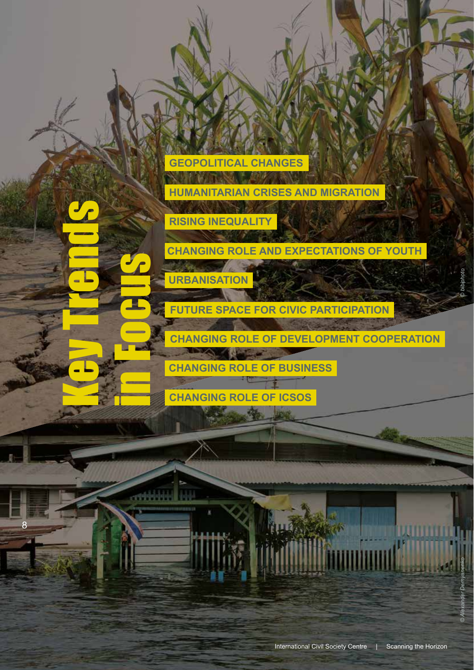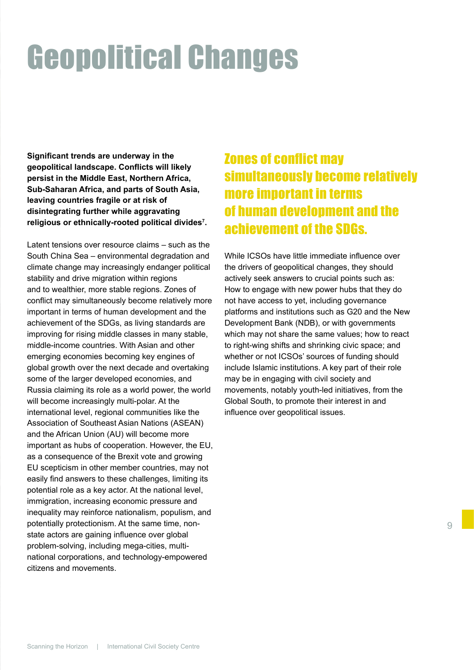### Geopolitical Changes

**Significant trends are underway in the geopolitical landscape. Conflicts will likely persist in the Middle East, Northern Africa, Sub-Saharan Africa, and parts of South Asia, leaving countries fragile or at risk of disintegrating further while aggravating religious or ethnically-rooted political divides7 .** 

Latent tensions over resource claims – such as the South China Sea – environmental degradation and climate change may increasingly endanger political stability and drive migration within regions and to wealthier, more stable regions. Zones of conflict may simultaneously become relatively more important in terms of human development and the achievement of the SDGs, as living standards are improving for rising middle classes in many stable, middle-income countries. With Asian and other emerging economies becoming key engines of global growth over the next decade and overtaking some of the larger developed economies, and Russia claiming its role as a world power, the world will become increasingly multi-polar. At the international level, regional communities like the Association of Southeast Asian Nations (ASEAN) and the African Union (AU) will become more important as hubs of cooperation. However, the EU, as a consequence of the Brexit vote and growing EU scepticism in other member countries, may not easily find answers to these challenges, limiting its potential role as a key actor. At the national level, immigration, increasing economic pressure and inequality may reinforce nationalism, populism, and potentially protectionism. At the same time, nonstate actors are gaining influence over global problem-solving, including mega-cities, multinational corporations, and technology-empowered citizens and movements.

### Zones of conflict may simultaneously become relatively more important in terms of human development and the achievement of the SDGs.

While ICSOs have little immediate influence over the drivers of geopolitical changes, they should actively seek answers to crucial points such as: How to engage with new power hubs that they do not have access to yet, including governance platforms and institutions such as G20 and the New Development Bank (NDB), or with governments which may not share the same values; how to react to right-wing shifts and shrinking civic space; and whether or not ICSOs' sources of funding should include Islamic institutions. A key part of their role may be in engaging with civil society and movements, notably youth-led initiatives, from the Global South, to promote their interest in and influence over geopolitical issues.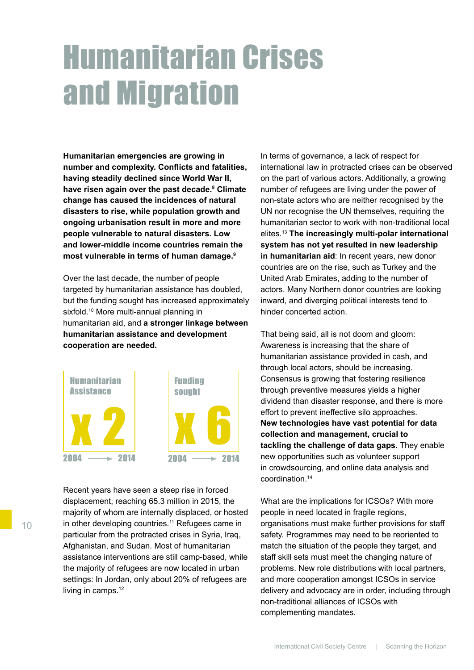### Humanitarian Crises and Migration

**Humanitarian emergencies are growing in number and complexity. Conflicts and fatalities, having steadily declined since World War II, have risen again over the past decade.8 Climate change has caused the incidences of natural disasters to rise, while population growth and ongoing urbanisation result in more and more people vulnerable to natural disasters. Low and lower-middle income countries remain the most vulnerable in terms of human damage.9**

Over the last decade, the number of people targeted by humanitarian assistance has doubled, but the funding sought has increased approximately sixfold.<sup>10</sup> More multi-annual planning in humanitarian aid, and **a stronger linkage between humanitarian assistance and development cooperation are needed.**



Recent years have seen a steep rise in forced displacement, reaching 65.3 million in 2015, the majority of whom are internally displaced, or hosted in other developing countries.<sup>11</sup> Refugees came in particular from the protracted crises in Syria, Iraq, Afghanistan, and Sudan. Most of humanitarian assistance interventions are still camp-based, while the majority of refugees are now located in urban settings: In Jordan, only about 20% of refugees are living in camps.<sup>12</sup>

In terms of governance, a lack of respect for international law in protracted crises can be observed on the part of various actors. Additionally, a growing number of refugees are living under the power of non-state actors who are neither recognised by the UN nor recognise the UN themselves, requiring the humanitarian sector to work with non-traditional local elites.13 **The increasingly multi-polar international system has not yet resulted in new leadership in humanitarian aid**: In recent years, new donor countries are on the rise, such as Turkey and the United Arab Emirates, adding to the number of actors. Many Northern donor countries are looking inward, and diverging political interests tend to hinder concerted action.

That being said, all is not doom and gloom: Awareness is increasing that the share of humanitarian assistance provided in cash, and through local actors, should be increasing. Consensus is growing that fostering resilience through preventive measures yields a higher dividend than disaster response, and there is more effort to prevent ineffective silo approaches. **New technologies have vast potential for data collection and management, crucial to tackling the challenge of data gaps.** They enable new opportunities such as volunteer support in crowdsourcing, and online data analysis and coordination.14

What are the implications for ICSOs? With more people in need located in fragile regions, organisations must make further provisions for staff safety. Programmes may need to be reoriented to match the situation of the people they target, and staff skill sets must meet the changing nature of problems. New role distributions with local partners, and more cooperation amongst ICSOs in service delivery and advocacy are in order, including through non-traditional alliances of ICSOs with complementing mandates.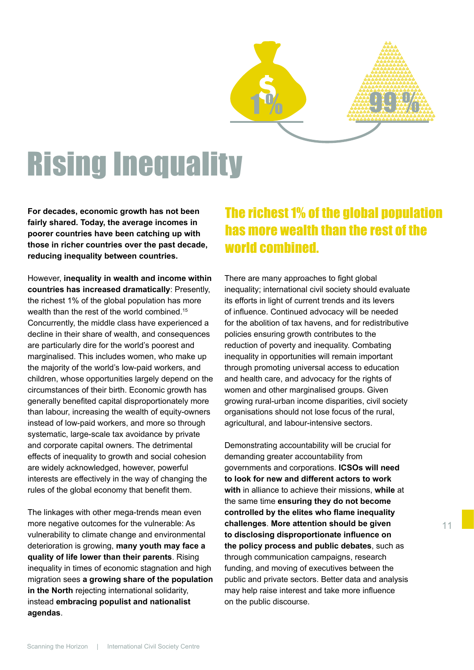

### Rising Inequality

**For decades, economic growth has not been fairly shared. Today, the average incomes in poorer countries have been catching up with those in richer countries over the past decade, reducing inequality between countries.** 

However, **inequality in wealth and income within countries has increased dramatically**: Presently, the richest 1% of the global population has more wealth than the rest of the world combined.<sup>15</sup> Concurrently, the middle class have experienced a decline in their share of wealth, and consequences are particularly dire for the world's poorest and marginalised. This includes women, who make up the majority of the world's low-paid workers, and children, whose opportunities largely depend on the circumstances of their birth. Economic growth has generally benefited capital disproportionately more than labour, increasing the wealth of equity-owners instead of low-paid workers, and more so through systematic, large-scale tax avoidance by private and corporate capital owners. The detrimental effects of inequality to growth and social cohesion are widely acknowledged, however, powerful interests are effectively in the way of changing the rules of the global economy that benefit them.

The linkages with other mega-trends mean even more negative outcomes for the vulnerable: As vulnerability to climate change and environmental deterioration is growing, **many youth may face a quality of life lower than their parents**. Rising inequality in times of economic stagnation and high migration sees **a growing share of the population in the North** rejecting international solidarity, instead **embracing populist and nationalist agendas**.

### The richest 1% of the global population has more wealth than the rest of the world combined.

There are many approaches to fight global inequality; international civil society should evaluate its efforts in light of current trends and its levers of influence. Continued advocacy will be needed for the abolition of tax havens, and for redistributive policies ensuring growth contributes to the reduction of poverty and inequality. Combating inequality in opportunities will remain important through promoting universal access to education and health care, and advocacy for the rights of women and other marginalised groups. Given growing rural-urban income disparities, civil society organisations should not lose focus of the rural, agricultural, and labour-intensive sectors.

Demonstrating accountability will be crucial for demanding greater accountability from governments and corporations. **ICSOs will need to look for new and different actors to work with** in alliance to achieve their missions, **while** at the same time **ensuring they do not become controlled by the elites who flame inequality challenges**. **More attention should be given to disclosing disproportionate influence on the policy process and public debates**, such as through communication campaigns, research funding, and moving of executives between the public and private sectors. Better data and analysis may help raise interest and take more influence on the public discourse.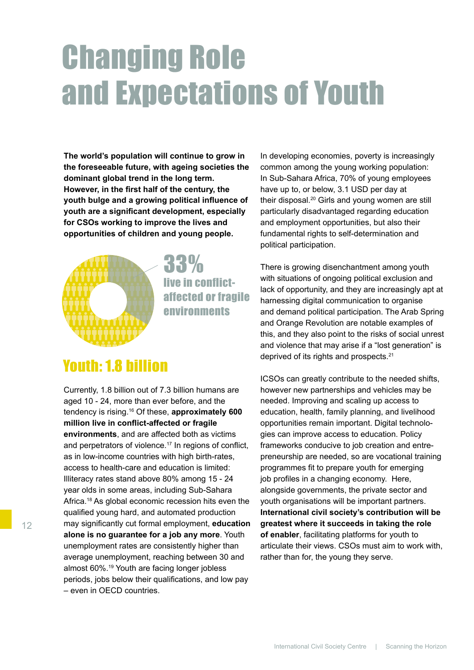### Changing Role and Expectations of Youth

**The world's population will continue to grow in the foreseeable future, with ageing societies the dominant global trend in the long term. However, in the first half of the century, the youth bulge and a growing political influence of youth are a significant development, especially for CSOs working to improve the lives and opportunities of children and young people.** 



33% live in conflictaffected or fragile environments

### Youth: 1.8 billion

Currently, 1.8 billion out of 7.3 billion humans are aged 10 - 24, more than ever before, and the tendency is rising.16 Of these, **approximately 600 million live in conflict-affected or fragile environments**, and are affected both as victims and perpetrators of violence.<sup>17</sup> In regions of conflict, as in low-income countries with high birth-rates, access to health-care and education is limited: Illiteracy rates stand above 80% among 15 - 24 year olds in some areas, including Sub-Sahara Africa.<sup>18</sup> As global economic recession hits even the qualified young hard, and automated production may significantly cut formal employment, **education alone is no guarantee for a job any more**. Youth unemployment rates are consistently higher than average unemployment, reaching between 30 and almost 60%.<sup>19</sup> Youth are facing longer jobless periods, jobs below their qualifications, and low pay – even in OECD countries.

In developing economies, poverty is increasingly common among the young working population: In Sub-Sahara Africa, 70% of young employees have up to, or below, 3.1 USD per day at their disposal.20 Girls and young women are still particularly disadvantaged regarding education and employment opportunities, but also their fundamental rights to self-determination and political participation.

There is growing disenchantment among youth with situations of ongoing political exclusion and lack of opportunity, and they are increasingly apt at harnessing digital communication to organise and demand political participation. The Arab Spring and Orange Revolution are notable examples of this, and they also point to the risks of social unrest and violence that may arise if a "lost generation" is deprived of its rights and prospects.<sup>21</sup>

ICSOs can greatly contribute to the needed shifts, however new partnerships and vehicles may be needed. Improving and scaling up access to education, health, family planning, and livelihood opportunities remain important. Digital technologies can improve access to education. Policy frameworks conducive to job creation and entrepreneurship are needed, so are vocational training programmes fit to prepare youth for emerging job profiles in a changing economy. Here, alongside governments, the private sector and youth organisations will be important partners. **International civil society's contribution will be greatest where it succeeds in taking the role of enabler**, facilitating platforms for youth to articulate their views. CSOs must aim to work with, rather than for, the young they serve.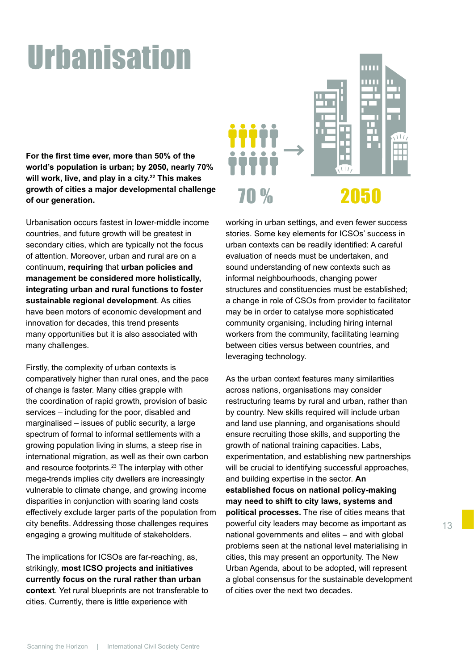### Urbanisation

**For the first time ever, more than 50% of the world's population is urban; by 2050, nearly 70% will work, live, and play in a city.<sup>22</sup> This makes growth of cities a major developmental challenge of our generation.** 

Urbanisation occurs fastest in lower-middle income countries, and future growth will be greatest in secondary cities, which are typically not the focus of attention. Moreover, urban and rural are on a continuum, **requiring** that **urban policies and management be considered more holistically, integrating urban and rural functions to foster sustainable regional development**. As cities have been motors of economic development and innovation for decades, this trend presents many opportunities but it is also associated with many challenges.

Firstly, the complexity of urban contexts is comparatively higher than rural ones, and the pace of change is faster. Many cities grapple with the coordination of rapid growth, provision of basic services – including for the poor, disabled and marginalised – issues of public security, a large spectrum of formal to informal settlements with a growing population living in slums, a steep rise in international migration, as well as their own carbon and resource footprints.<sup>23</sup> The interplay with other mega-trends implies city dwellers are increasingly vulnerable to climate change, and growing income disparities in conjunction with soaring land costs effectively exclude larger parts of the population from city benefits. Addressing those challenges requires engaging a growing multitude of stakeholders.

The implications for ICSOs are far-reaching, as, strikingly, **most ICSO projects and initiatives currently focus on the rural rather than urban context**. Yet rural blueprints are not transferable to cities. Currently, there is little experience with



working in urban settings, and even fewer success stories. Some key elements for ICSOs' success in urban contexts can be readily identified: A careful evaluation of needs must be undertaken, and sound understanding of new contexts such as informal neighbourhoods, changing power structures and constituencies must be established; a change in role of CSOs from provider to facilitator may be in order to catalyse more sophisticated community organising, including hiring internal workers from the community, facilitating learning between cities versus between countries, and leveraging technology.

As the urban context features many similarities across nations, organisations may consider restructuring teams by rural and urban, rather than by country. New skills required will include urban and land use planning, and organisations should ensure recruiting those skills, and supporting the growth of national training capacities. Labs, experimentation, and establishing new partnerships will be crucial to identifying successful approaches, and building expertise in the sector. **An established focus on national policy-making may need to shift to city laws, systems and political processes.** The rise of cities means that powerful city leaders may become as important as national governments and elites – and with global problems seen at the national level materialising in cities, this may present an opportunity. The New Urban Agenda, about to be adopted, will represent a global consensus for the sustainable development of cities over the next two decades.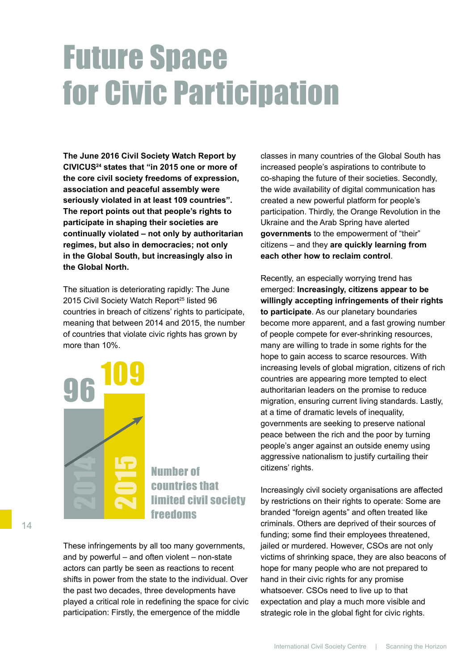### Future Space for Civic Participation

**The June 2016 Civil Society Watch Report by CIVICUS24 states that "in 2015 one or more of the core civil society freedoms of expression, association and peaceful assembly were seriously violated in at least 109 countries". The report points out that people's rights to participate in shaping their societies are continually violated – not only by authoritarian regimes, but also in democracies; not only in the Global South, but increasingly also in the Global North.** 

The situation is deteriorating rapidly: The June 2015 Civil Society Watch Report<sup>25</sup> listed 96 countries in breach of citizens' rights to participate, meaning that between 2014 and 2015, the number of countries that violate civic rights has grown by more than 10%.



Number of countries that limited civil society freedoms

These infringements by all too many governments, and by powerful – and often violent – non-state actors can partly be seen as reactions to recent shifts in power from the state to the individual. Over the past two decades, three developments have played a critical role in redefining the space for civic participation: Firstly, the emergence of the middle

classes in many countries of the Global South has increased people's aspirations to contribute to co-shaping the future of their societies. Secondly, the wide availability of digital communication has created a new powerful platform for people's participation. Thirdly, the Orange Revolution in the Ukraine and the Arab Spring have alerted **governments** to the empowerment of "their" citizens – and they **are quickly learning from each other how to reclaim control**.

Recently, an especially worrying trend has emerged: **Increasingly, citizens appear to be willingly accepting infringements of their rights to participate**. As our planetary boundaries become more apparent, and a fast growing number of people compete for ever-shrinking resources, many are willing to trade in some rights for the hope to gain access to scarce resources. With increasing levels of global migration, citizens of rich countries are appearing more tempted to elect authoritarian leaders on the promise to reduce migration, ensuring current living standards. Lastly, at a time of dramatic levels of inequality, governments are seeking to preserve national peace between the rich and the poor by turning people's anger against an outside enemy using aggressive nationalism to justify curtailing their citizens' rights.

Increasingly civil society organisations are affected by restrictions on their rights to operate: Some are branded "foreign agents" and often treated like criminals. Others are deprived of their sources of funding; some find their employees threatened, jailed or murdered. However, CSOs are not only victims of shrinking space, they are also beacons of hope for many people who are not prepared to hand in their civic rights for any promise whatsoever. CSOs need to live up to that expectation and play a much more visible and strategic role in the global fight for civic rights.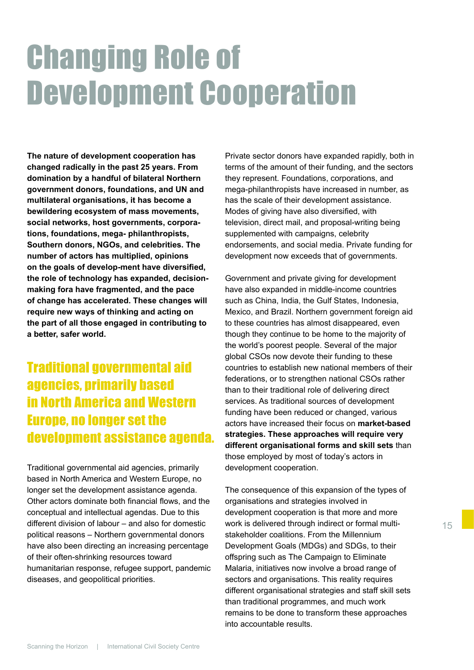### Changing Role of Development Cooperation

**The nature of development cooperation has changed radically in the past 25 years. From domination by a handful of bilateral Northern government donors, foundations, and UN and multilateral organisations, it has become a bewildering ecosystem of mass movements, social networks, host governments, corporations, foundations, mega- philanthropists, Southern donors, NGOs, and celebrities. The number of actors has multiplied, opinions on the goals of develop-ment have diversified, the role of technology has expanded, decisionmaking fora have fragmented, and the pace of change has accelerated. These changes will require new ways of thinking and acting on the part of all those engaged in contributing to a better, safer world.**

### Traditional governmental aid agencies, primarily based in North America and Western Europe, no longer set the development assistance agenda.

Traditional governmental aid agencies, primarily based in North America and Western Europe, no longer set the development assistance agenda. Other actors dominate both financial flows, and the conceptual and intellectual agendas. Due to this different division of labour – and also for domestic political reasons – Northern governmental donors have also been directing an increasing percentage of their often-shrinking resources toward humanitarian response, refugee support, pandemic diseases, and geopolitical priorities.

Private sector donors have expanded rapidly, both in terms of the amount of their funding, and the sectors they represent. Foundations, corporations, and mega-philanthropists have increased in number, as has the scale of their development assistance. Modes of giving have also diversified, with television, direct mail, and proposal-writing being supplemented with campaigns, celebrity endorsements, and social media. Private funding for development now exceeds that of governments.

Government and private giving for development have also expanded in middle-income countries such as China, India, the Gulf States, Indonesia, Mexico, and Brazil. Northern government foreign aid to these countries has almost disappeared, even though they continue to be home to the majority of the world's poorest people. Several of the major global CSOs now devote their funding to these countries to establish new national members of their federations, or to strengthen national CSOs rather than to their traditional role of delivering direct services. As traditional sources of development funding have been reduced or changed, various actors have increased their focus on **market-based strategies. These approaches will require very different organisational forms and skill sets** than those employed by most of today's actors in development cooperation.

The consequence of this expansion of the types of organisations and strategies involved in development cooperation is that more and more work is delivered through indirect or formal multistakeholder coalitions. From the Millennium Development Goals (MDGs) and SDGs, to their offspring such as The Campaign to Eliminate Malaria, initiatives now involve a broad range of sectors and organisations. This reality requires different organisational strategies and staff skill sets than traditional programmes, and much work remains to be done to transform these approaches into accountable results.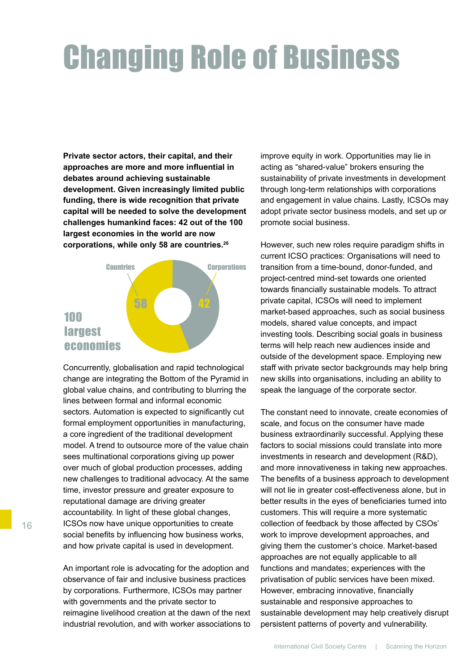### Changing Role of Business

**Private sector actors, their capital, and their approaches are more and more influential in debates around achieving sustainable development. Given increasingly limited public funding, there is wide recognition that private capital will be needed to solve the development challenges humankind faces: 42 out of the 100 largest economies in the world are now corporations, while only 58 are countries.26**



Concurrently, globalisation and rapid technological change are integrating the Bottom of the Pyramid in global value chains, and contributing to blurring the lines between formal and informal economic sectors. Automation is expected to significantly cut formal employment opportunities in manufacturing, a core ingredient of the traditional development model. A trend to outsource more of the value chain sees multinational corporations giving up power over much of global production processes, adding new challenges to traditional advocacy. At the same time, investor pressure and greater exposure to reputational damage are driving greater accountability. In light of these global changes, ICSOs now have unique opportunities to create social benefits by influencing how business works, and how private capital is used in development.

An important role is advocating for the adoption and observance of fair and inclusive business practices by corporations. Furthermore, ICSOs may partner with governments and the private sector to reimagine livelihood creation at the dawn of the next industrial revolution, and with worker associations to

improve equity in work. Opportunities may lie in acting as "shared-value" brokers ensuring the sustainability of private investments in development through long-term relationships with corporations and engagement in value chains. Lastly, ICSOs may adopt private sector business models, and set up or promote social business.

However, such new roles require paradigm shifts in current ICSO practices: Organisations will need to transition from a time-bound, donor-funded, and project-centred mind-set towards one oriented towards financially sustainable models. To attract private capital, ICSOs will need to implement market-based approaches, such as social business models, shared value concepts, and impact investing tools. Describing social goals in business terms will help reach new audiences inside and outside of the development space. Employing new staff with private sector backgrounds may help bring new skills into organisations, including an ability to speak the language of the corporate sector.

The constant need to innovate, create economies of scale, and focus on the consumer have made business extraordinarily successful. Applying these factors to social missions could translate into more investments in research and development (R&D), and more innovativeness in taking new approaches. The benefits of a business approach to development will not lie in greater cost-effectiveness alone, but in better results in the eyes of beneficiaries turned into customers. This will require a more systematic collection of feedback by those affected by CSOs' work to improve development approaches, and giving them the customer's choice. Market-based approaches are not equally applicable to all functions and mandates; experiences with the privatisation of public services have been mixed. However, embracing innovative, financially sustainable and responsive approaches to sustainable development may help creatively disrupt persistent patterns of poverty and vulnerability.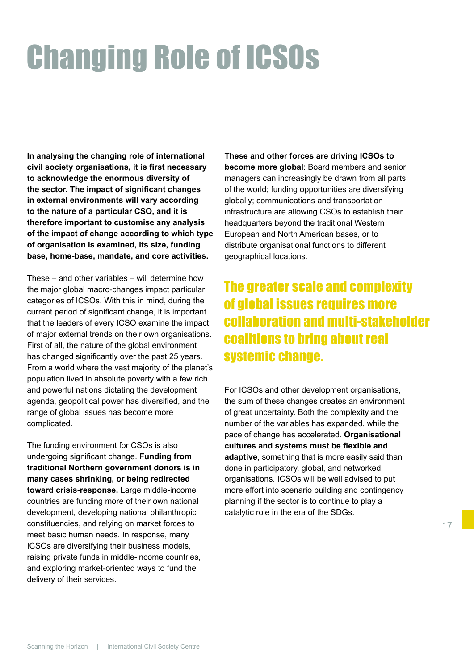### Changing Role of ICSOs

**In analysing the changing role of international civil society organisations, it is first necessary to acknowledge the enormous diversity of the sector. The impact of significant changes in external environments will vary according to the nature of a particular CSO, and it is therefore important to customise any analysis of the impact of change according to which type of organisation is examined, its size, funding base, home-base, mandate, and core activities.**

These – and other variables – will determine how the major global macro-changes impact particular categories of ICSOs. With this in mind, during the current period of significant change, it is important that the leaders of every ICSO examine the impact of major external trends on their own organisations. First of all, the nature of the global environment has changed significantly over the past 25 years. From a world where the vast majority of the planet's population lived in absolute poverty with a few rich and powerful nations dictating the development agenda, geopolitical power has diversified, and the range of global issues has become more complicated.

The funding environment for CSOs is also undergoing significant change. **Funding from traditional Northern government donors is in many cases shrinking, or being redirected toward crisis-response.** Large middle-income countries are funding more of their own national development, developing national philanthropic constituencies, and relying on market forces to meet basic human needs. In response, many ICSOs are diversifying their business models, raising private funds in middle-income countries, and exploring market-oriented ways to fund the delivery of their services.

**These and other forces are driving ICSOs to become more global**: Board members and senior managers can increasingly be drawn from all parts of the world; funding opportunities are diversifying globally; communications and transportation infrastructure are allowing CSOs to establish their headquarters beyond the traditional Western European and North American bases, or to distribute organisational functions to different geographical locations.

### The greater scale and complexity of global issues requires more collaboration and multi-stakeholder coalitions to bring about real systemic change.

For ICSOs and other development organisations, the sum of these changes creates an environment of great uncertainty. Both the complexity and the number of the variables has expanded, while the pace of change has accelerated. **Organisational cultures and systems must be flexible and adaptive**, something that is more easily said than done in participatory, global, and networked organisations. ICSOs will be well advised to put more effort into scenario building and contingency planning if the sector is to continue to play a catalytic role in the era of the SDGs.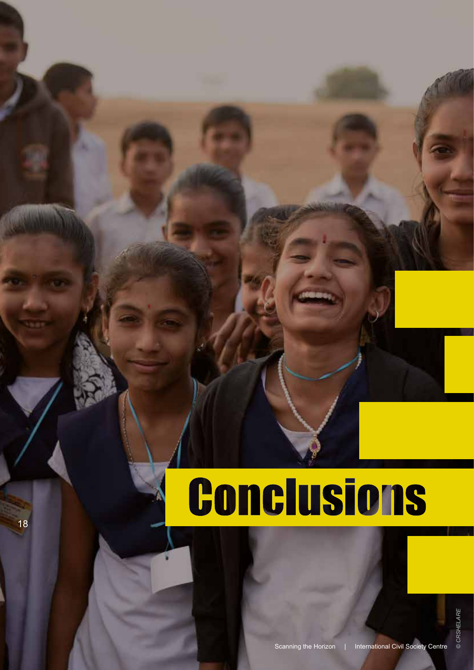# **Conclusions**

18 18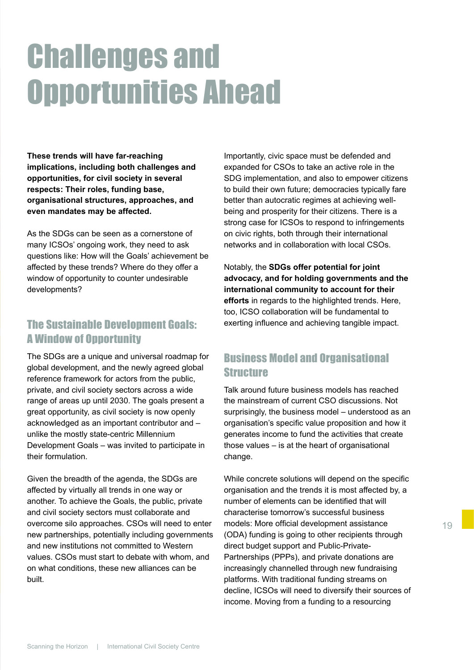### Challenges and Opportunities Ahead

**These trends will have far-reaching implications, including both challenges and opportunities, for civil society in several respects: Their roles, funding base, organisational structures, approaches, and even mandates may be affected.** 

As the SDGs can be seen as a cornerstone of many ICSOs' ongoing work, they need to ask questions like: How will the Goals' achievement be affected by these trends? Where do they offer a window of opportunity to counter undesirable developments?

#### The Sustainable Development Goals: A Window of Opportunity

The SDGs are a unique and universal roadmap for global development, and the newly agreed global reference framework for actors from the public, private, and civil society sectors across a wide range of areas up until 2030. The goals present a great opportunity, as civil society is now openly acknowledged as an important contributor and – unlike the mostly state-centric Millennium Development Goals – was invited to participate in their formulation.

Given the breadth of the agenda, the SDGs are affected by virtually all trends in one way or another. To achieve the Goals, the public, private and civil society sectors must collaborate and overcome silo approaches. CSOs will need to enter new partnerships, potentially including governments and new institutions not committed to Western values. CSOs must start to debate with whom, and on what conditions, these new alliances can be built.

Importantly, civic space must be defended and expanded for CSOs to take an active role in the SDG implementation, and also to empower citizens to build their own future; democracies typically fare better than autocratic regimes at achieving wellbeing and prosperity for their citizens. There is a strong case for ICSOs to respond to infringements on civic rights, both through their international networks and in collaboration with local CSOs.

Notably, the **SDGs offer potential for joint advocacy, and for holding governments and the international community to account for their efforts** in regards to the highlighted trends. Here, too, ICSO collaboration will be fundamental to exerting influence and achieving tangible impact.

#### Business Model and Organisational Structure

Talk around future business models has reached the mainstream of current CSO discussions. Not surprisingly, the business model – understood as an organisation's specific value proposition and how it generates income to fund the activities that create those values – is at the heart of organisational change.

While concrete solutions will depend on the specific organisation and the trends it is most affected by, a number of elements can be identified that will characterise tomorrow's successful business models: More official development assistance (ODA) funding is going to other recipients through direct budget support and Public-Private-Partnerships (PPPs), and private donations are increasingly channelled through new fundraising platforms. With traditional funding streams on decline, ICSOs will need to diversify their sources of income. Moving from a funding to a resourcing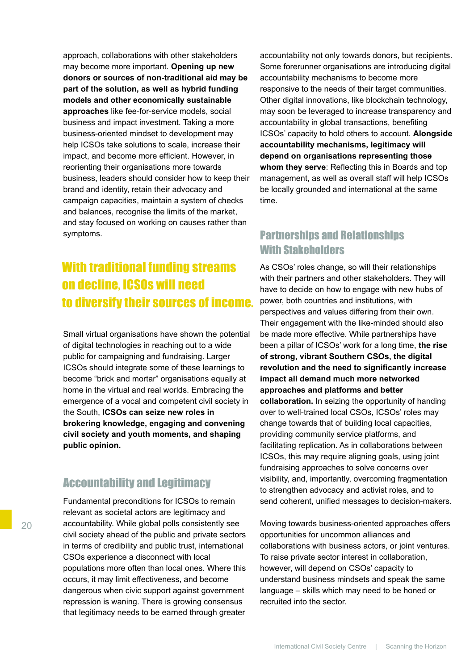approach, collaborations with other stakeholders may become more important. **Opening up new donors or sources of non-traditional aid may be part of the solution, as well as hybrid funding models and other economically sustainable approaches** like fee-for-service models, social business and impact investment. Taking a more business-oriented mindset to development may help ICSOs take solutions to scale, increase their impact, and become more efficient. However, in reorienting their organisations more towards business, leaders should consider how to keep their brand and identity, retain their advocacy and campaign capacities, maintain a system of checks and balances, recognise the limits of the market, and stay focused on working on causes rather than symptoms.

### With traditional funding streams on decline, ICSOs will need to diversify their sources of income.

Small virtual organisations have shown the potential of digital technologies in reaching out to a wide public for campaigning and fundraising. Larger ICSOs should integrate some of these learnings to become "brick and mortar" organisations equally at home in the virtual and real worlds. Embracing the emergence of a vocal and competent civil society in the South, **ICSOs can seize new roles in brokering knowledge, engaging and convening civil society and youth moments, and shaping public opinion.** 

#### Accountability and Legitimacy

Fundamental preconditions for ICSOs to remain relevant as societal actors are legitimacy and accountability. While global polls consistently see civil society ahead of the public and private sectors in terms of credibility and public trust, international CSOs experience a disconnect with local populations more often than local ones. Where this occurs, it may limit effectiveness, and become dangerous when civic support against government repression is waning. There is growing consensus that legitimacy needs to be earned through greater

accountability not only towards donors, but recipients. Some forerunner organisations are introducing digital accountability mechanisms to become more responsive to the needs of their target communities. Other digital innovations, like blockchain technology, may soon be leveraged to increase transparency and accountability in global transactions, benefiting ICSOs' capacity to hold others to account. **Alongside accountability mechanisms, legitimacy will depend on organisations representing those whom they serve**: Reflecting this in Boards and top management, as well as overall staff will help ICSOs be locally grounded and international at the same time.

#### Partnerships and Relationships With Stakeholders

As CSOs' roles change, so will their relationships with their partners and other stakeholders. They will have to decide on how to engage with new hubs of power, both countries and institutions, with perspectives and values differing from their own. Their engagement with the like-minded should also be made more effective. While partnerships have been a pillar of ICSOs' work for a long time, **the rise of strong, vibrant Southern CSOs, the digital revolution and the need to significantly increase impact all demand much more networked approaches and platforms and better collaboration.** In seizing the opportunity of handing over to well-trained local CSOs, ICSOs' roles may change towards that of building local capacities, providing community service platforms, and facilitating replication. As in collaborations between ICSOs, this may require aligning goals, using joint fundraising approaches to solve concerns over visibility, and, importantly, overcoming fragmentation to strengthen advocacy and activist roles, and to send coherent, unified messages to decision-makers.

Moving towards business-oriented approaches offers opportunities for uncommon alliances and collaborations with business actors, or joint ventures. To raise private sector interest in collaboration, however, will depend on CSOs' capacity to understand business mindsets and speak the same language – skills which may need to be honed or recruited into the sector.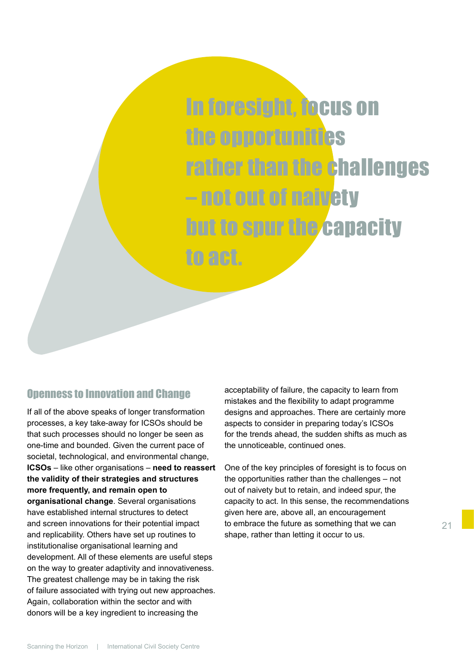In foresight, focus on the opportunities rather than the challenges – not out of naivety but to spur the capacity to act.

#### Openness to Innovation and Change

If all of the above speaks of longer transformation processes, a key take-away for ICSOs should be that such processes should no longer be seen as one-time and bounded. Given the current pace of societal, technological, and environmental change, **ICSOs** – like other organisations – **need to reassert the validity of their strategies and structures more frequently, and remain open to organisational change**. Several organisations have established internal structures to detect and screen innovations for their potential impact and replicability. Others have set up routines to institutionalise organisational learning and development. All of these elements are useful steps on the way to greater adaptivity and innovativeness. The greatest challenge may be in taking the risk of failure associated with trying out new approaches. Again, collaboration within the sector and with donors will be a key ingredient to increasing the

acceptability of failure, the capacity to learn from mistakes and the flexibility to adapt programme designs and approaches. There are certainly more aspects to consider in preparing today's ICSOs for the trends ahead, the sudden shifts as much as the unnoticeable, continued ones.

One of the key principles of foresight is to focus on the opportunities rather than the challenges – not out of naivety but to retain, and indeed spur, the capacity to act. In this sense, the recommendations given here are, above all, an encouragement to embrace the future as something that we can shape, rather than letting it occur to us.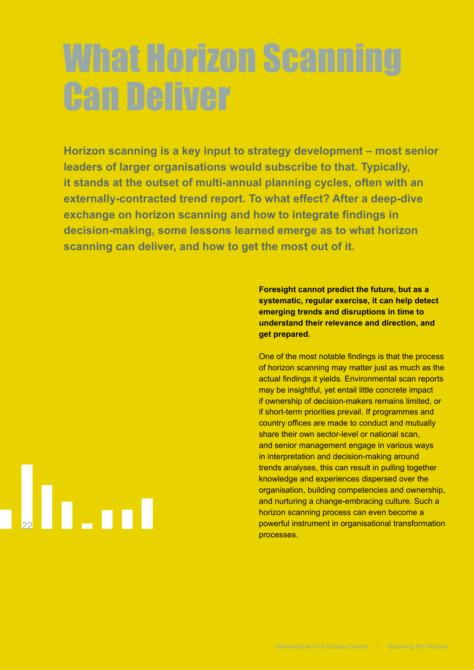## What Horizon Scanning Can Deliver

**Horizon scanning is a key input to strategy development – most senior leaders of larger organisations would subscribe to that. Typically, it stands at the outset of multi-annual planning cycles, often with an externally-contracted trend report. To what effect? After a deep-dive exchange on horizon scanning and how to integrate findings in decision-making, some lessons learned emerge as to what horizon scanning can deliver, and how to get the most out of it.** 

> **Foresight cannot predict the future, but as a systematic, regular exercise, it can help detect emerging trends and disruptions in time to understand their relevance and direction, and get prepared.**

One of the most notable findings is that the process of horizon scanning may matter just as much as the actual findings it yields. Environmental scan reports may be insightful, yet entail little concrete impact if ownership of decision-makers remains limited, or if short-term priorities prevail. If programmes and country offices are made to conduct and mutually share their own sector-level or national scan, and senior management engage in various ways in interpretation and decision-making around trends analyses, this can result in pulling together knowledge and experiences dispersed over the organisation, building competencies and ownership, and nurturing a change-embracing culture. Such a horizon scanning process can even become a powerful instrument in organisational transformation processes.

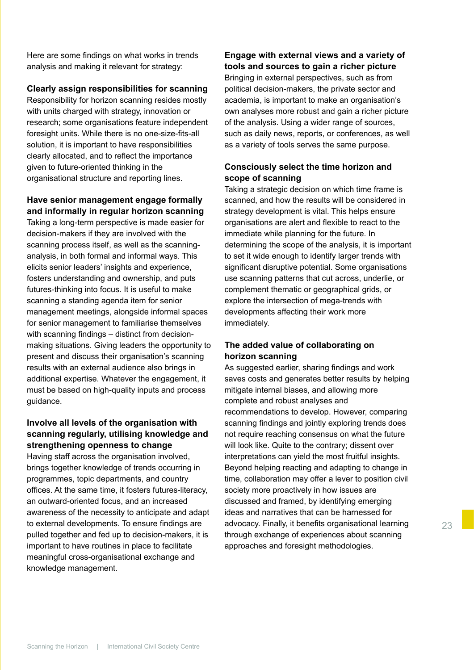Here are some findings on what works in trends analysis and making it relevant for strategy:

#### **Clearly assign responsibilities for scanning**

Responsibility for horizon scanning resides mostly with units charged with strategy, innovation or research; some organisations feature independent foresight units. While there is no one-size-fits-all solution, it is important to have responsibilities clearly allocated, and to reflect the importance given to future-oriented thinking in the organisational structure and reporting lines.

#### **Have senior management engage formally and informally in regular horizon scanning**

Taking a long-term perspective is made easier for decision-makers if they are involved with the scanning process itself, as well as the scanninganalysis, in both formal and informal ways. This elicits senior leaders' insights and experience, fosters understanding and ownership, and puts futures-thinking into focus. It is useful to make scanning a standing agenda item for senior management meetings, alongside informal spaces for senior management to familiarise themselves with scanning findings – distinct from decisionmaking situations. Giving leaders the opportunity to present and discuss their organisation's scanning results with an external audience also brings in additional expertise. Whatever the engagement, it must be based on high-quality inputs and process guidance.

#### **Involve all levels of the organisation with scanning regularly, utilising knowledge and strengthening openness to change**

Having staff across the organisation involved, brings together knowledge of trends occurring in programmes, topic departments, and country offices. At the same time, it fosters futures-literacy, an outward-oriented focus, and an increased awareness of the necessity to anticipate and adapt to external developments. To ensure findings are pulled together and fed up to decision-makers, it is important to have routines in place to facilitate meaningful cross-organisational exchange and knowledge management.

**Engage with external views and a variety of tools and sources to gain a richer picture** Bringing in external perspectives, such as from political decision-makers, the private sector and academia, is important to make an organisation's own analyses more robust and gain a richer picture of the analysis. Using a wider range of sources, such as daily news, reports, or conferences, as well as a variety of tools serves the same purpose.

#### **Consciously select the time horizon and scope of scanning**

Taking a strategic decision on which time frame is scanned, and how the results will be considered in strategy development is vital. This helps ensure organisations are alert and flexible to react to the immediate while planning for the future. In determining the scope of the analysis, it is important to set it wide enough to identify larger trends with significant disruptive potential. Some organisations use scanning patterns that cut across, underlie, or complement thematic or geographical grids, or explore the intersection of mega-trends with developments affecting their work more immediately.

#### **The added value of collaborating on horizon scanning**

As suggested earlier, sharing findings and work saves costs and generates better results by helping mitigate internal biases, and allowing more complete and robust analyses and recommendations to develop. However, comparing scanning findings and jointly exploring trends does not require reaching consensus on what the future will look like. Quite to the contrary; dissent over interpretations can yield the most fruitful insights. Beyond helping reacting and adapting to change in time, collaboration may offer a lever to position civil society more proactively in how issues are discussed and framed, by identifying emerging ideas and narratives that can be harnessed for advocacy. Finally, it benefits organisational learning through exchange of experiences about scanning approaches and foresight methodologies.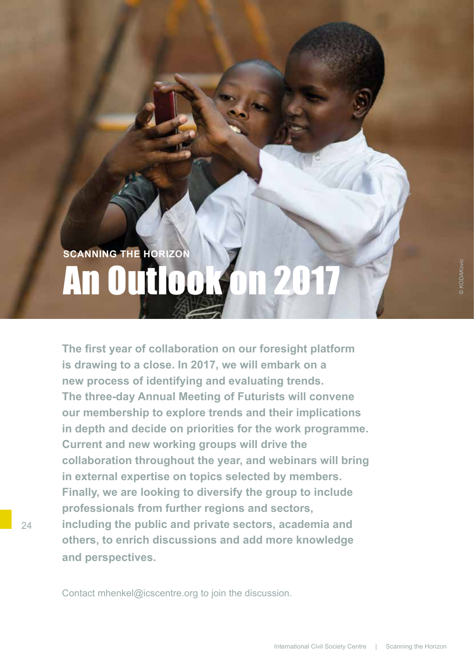### **SCANNING THE HORIZON** An Outlook

**The first year of collaboration on our foresight platform is drawing to a close. In 2017, we will embark on a new process of identifying and evaluating trends. The three-day Annual Meeting of Futurists will convene our membership to explore trends and their implications in depth and decide on priorities for the work programme. Current and new working groups will drive the collaboration throughout the year, and webinars will bring in external expertise on topics selected by members. Finally, we are looking to diversify the group to include professionals from further regions and sectors, including the public and private sectors, academia and others, to enrich discussions and add more knowledge and perspectives.**

Contact mhenkel@icscentre.org to join the discussion.

 $24$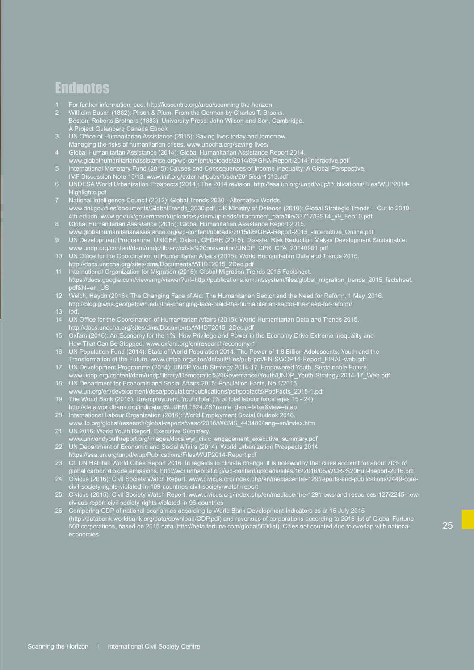### **Endnotes**

- 1 For further information, see: http://icscentre.org/area/scanning-the-horizon
- 2 Wilhelm Busch (1882): Plisch & Plum. From the German by Charles T. Brooks. Boston: Roberts Brothers (1883). University Press: John Wilson and Son, Cambridge. A Project Gutenberg Canada Ebook
- 3 UN Office of Humanitarian Assistance (2015): Saving lives today and tomorrow. Managing the risks of humanitarian crises. www.unocha.org/saving-lives/
- 4 Global Humanitarian Assistance (2014): Global Humanitarian Assistance Report 2014. www.globalhumanitarianassistance.org/wp-content/uploads/2014/09/GHA-Report-2014-interactive.pdf
- 5 International Monetary Fund (2015): Causes and Consequences of Income Inequality: A Global Perspective.
- IMF Discussion Note 15/13. www.imf.org/external/pubs/ft/sdn/2015/sdn1513.pdf
- 6 UNDESA World Urbanization Prospects (2014): The 2014 revision. http://esa.un.org/unpd/wup/Publications/Files/WUP2014- Highlights.pdf
- 7 National Intelligence Council (2012): Global Trends 2030 Alternative Worlds. www.dni.gov/files/documents/GlobalTrends\_2030.pdf, UK Ministry of Defense (2010): Global Strategic Trends – Out to 2040. 4th edition. www.gov.uk/government/uploads/system/uploads/attachment\_data/file/33717/GST4\_v9\_Feb10.pdf
- 8 Global Humanitarian Assistance (2015): Global Humanitarian Assistance Report 2015. www.globalhumanitarianassistance.org/wp-content/uploads/2015/06/GHA-Report-2015\_-Interactive\_Online.pdf
- 9 UN Development Programme, UNICEF, Oxfam, GFDRR (2015): Disaster Risk Reduction Makes Development Sustainable. www.undp.org/content/dam/undp/library/crisis%20prevention/UNDP\_CPR\_CTA\_20140901.pdf
- 10 UN Office for the Coordination of Humanitarian Affairs (2015): World Humanitarian Data and Trends 2015. http://docs.unocha.org/sites/dms/Documents/WHDT2015\_2Dec.pdf
- 11 International Organization for Migration (2015): Global Migration Trends 2015 Factsheet. https://docs.google.com/viewerng/viewer?url=http://publications.iom.int/system/files/global\_migration\_trends\_2015\_factsheet. pdf&hl=en\_US
- 12 Welch, Haydn (2016): The Changing Face of Aid: The Humanitarian Sector and the Need for Reform, 1 May, 2016. http://blog.giwps.georgetown.edu/the-changing-face-ofaid-the-humanitarian-sector-the-need-for-reform/
- 
- 14 UN Office for the Coordination of Humanitarian Affairs (2015): World Humanitarian Data and Trends 2015. http://docs.unocha.org/sites/dms/Documents/WHDT2015\_2Dec.pdf
- 15 Oxfam (2016): An Economy for the 1%. How Privilege and Power in the Economy Drive Extreme Inequality and How That Can Be Stopped. www.oxfam.org/en/research/economy-1
- 16 UN Population Fund (2014): State of World Population 2014. The Power of 1.8 Billion Adolescents, Youth and the Transformation of the Future. www.unfpa.org/sites/default/files/pub-pdf/EN-SWOP14-Report\_FINAL-web.pdf
- 17 UN Development Programme (2014): UNDP Youth Strategy 2014-17. Empowered Youth, Sustainable Future. www.undp.org/content/dam/undp/library/Democratic%20Governance/Youth/UNDP\_Youth-Strategy-2014-17\_Web.pdf
- 18 UN Department for Economic and Social Affairs 2015: Population Facts, No 1/2015.
- www.un.org/en/development/desa/population/publications/pdf/popfacts/PopFacts\_2015-1.pdf 19 The World Bank (2016): Unemployment, Youth total (% of total labour force ages 15 - 24)
- http://data.worldbank.org/indicator/SL.UEM.1524.ZS?name\_desc=false&view=map 20 International Labour Organization (2016): World Employment Social Outlook 2016.
- www.ilo.org/global/research/global-reports/weso/2016/WCMS\_443480/lang--en/index.htm 21 UN 2016: World Youth Report. Executive Summary.
- www.unworldyouthreport.org/images/docs/wyr\_civic\_engagement\_executive\_summary.pdf 22 UN Department of Economic and Social Affairs (2014): World Urbanization Prospects 2014. https://esa.un.org/unpd/wup/Publications/Files/WUP2014-Report.pdf
- 23 Cf. UN Habitat: World Cities Report 2016. In regards to climate change, it is noteworthy that cities account for about 70% of global carbon dioxide emissions. http://wcr.unhabitat.org/wp-content/uploads/sites/16/2016/05/WCR-%20Full-Report-2016.pdf
- 24 Civicus (2016): Civil Society Watch Report. www.civicus.org/index.php/en/mediacentre-129/reports-and-publications/2449-corecivil-society-rights-violated-in-109-countries-civil-society-watch-report
- 25 Civicus (2015): Civil Society Watch Report. www.civicus.org/index.php/en/mediacentre-129/news-and-resources-127/2245-newcivicus-report-civil-society-rights-violated-in-96-countries
- 26 Comparing GDP of national economies according to World Bank Development Indicators as at 15 July 2015 (http://databank.worldbank.org/data/download/GDP.pdf) and revenues of corporations according to 2016 list of Global Fortune 500 corporations, based on 2015 data (http://beta.fortune.com/global500/list). Cities not counted due to overlap with national